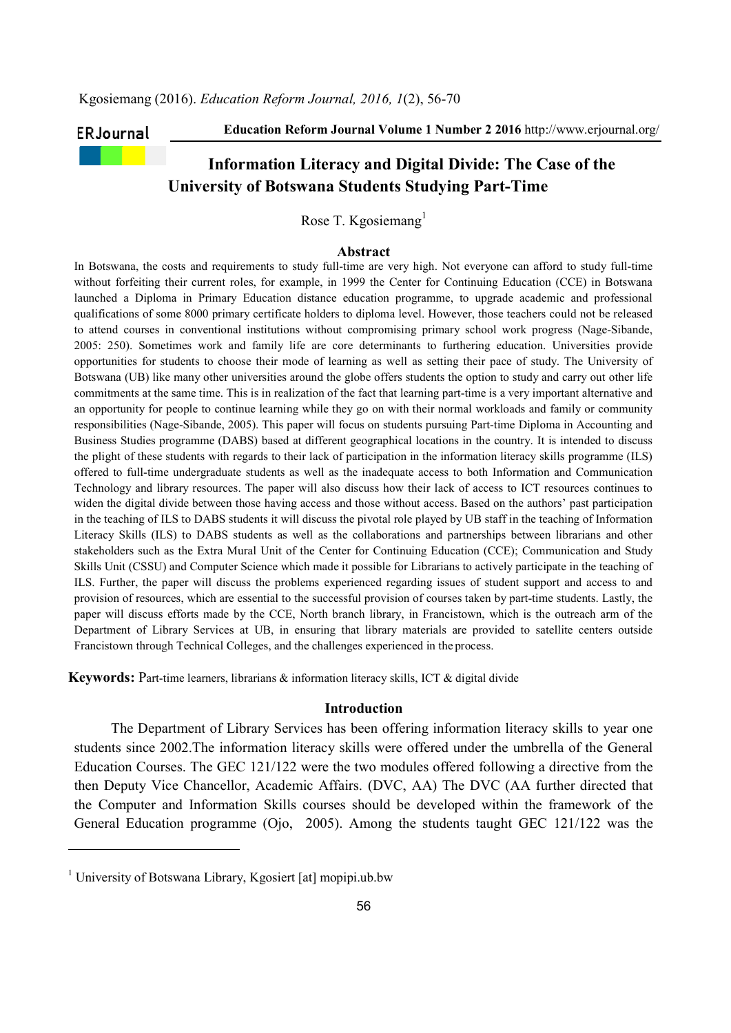## ERJournal

Education Reform Journal Volume 1 Number 2 2016 http://www.erjournal.org/

# Information Literacy and Digital Divide: The Case of the University of Botswana Students Studying Part-Time

Rose T. Kgosiemang $<sup>1</sup>$ </sup>

# Abstract

In Botswana, the costs and requirements to study full-time are very high. Not everyone can afford to study full-time without forfeiting their current roles, for example, in 1999 the Center for Continuing Education (CCE) in Botswana launched a Diploma in Primary Education distance education programme, to upgrade academic and professional qualifications of some 8000 primary certificate holders to diploma level. However, those teachers could not be released to attend courses in conventional institutions without compromising primary school work progress (Nage-Sibande, 2005: 250). Sometimes work and family life are core determinants to furthering education. Universities provide opportunities for students to choose their mode of learning as well as setting their pace of study. The University of Botswana (UB) like many other universities around the globe offers students the option to study and carry out other life commitments at the same time. This is in realization of the fact that learning part-time is a very important alternative and an opportunity for people to continue learning while they go on with their normal workloads and family or community responsibilities (Nage-Sibande, 2005). This paper will focus on students pursuing Part-time Diploma in Accounting and Business Studies programme (DABS) based at different geographical locations in the country. It is intended to discuss the plight of these students with regards to their lack of participation in the information literacy skills programme (ILS) offered to full-time undergraduate students as well as the inadequate access to both Information and Communication Technology and library resources. The paper will also discuss how their lack of access to ICT resources continues to widen the digital divide between those having access and those without access. Based on the authors' past participation in the teaching of ILS to DABS students it will discuss the pivotal role played by UB staff in the teaching of Information Literacy Skills (ILS) to DABS students as well as the collaborations and partnerships between librarians and other stakeholders such as the Extra Mural Unit of the Center for Continuing Education (CCE); Communication and Study Skills Unit (CSSU) and Computer Science which made it possible for Librarians to actively participate in the teaching of ILS. Further, the paper will discuss the problems experienced regarding issues of student support and access to and provision of resources, which are essential to the successful provision of courses taken by part-time students. Lastly, the paper will discuss efforts made by the CCE, North branch library, in Francistown, which is the outreach arm of the Department of Library Services at UB, in ensuring that library materials are provided to satellite centers outside Francistown through Technical Colleges, and the challenges experienced in the process.

Keywords: Part-time learners, librarians & information literacy skills, ICT & digital divide

#### Introduction

The Department of Library Services has been offering information literacy skills to year one students since 2002.The information literacy skills were offered under the umbrella of the General Education Courses. The GEC 121/122 were the two modules offered following a directive from the then Deputy Vice Chancellor, Academic Affairs. (DVC, AA) The DVC (AA further directed that the Computer and Information Skills courses should be developed within the framework of the General Education programme (Ojo, 2005). Among the students taught GEC 121/122 was the

-

<sup>&</sup>lt;sup>1</sup> University of Botswana Library, Kgosiert [at] mopipi.ub.bw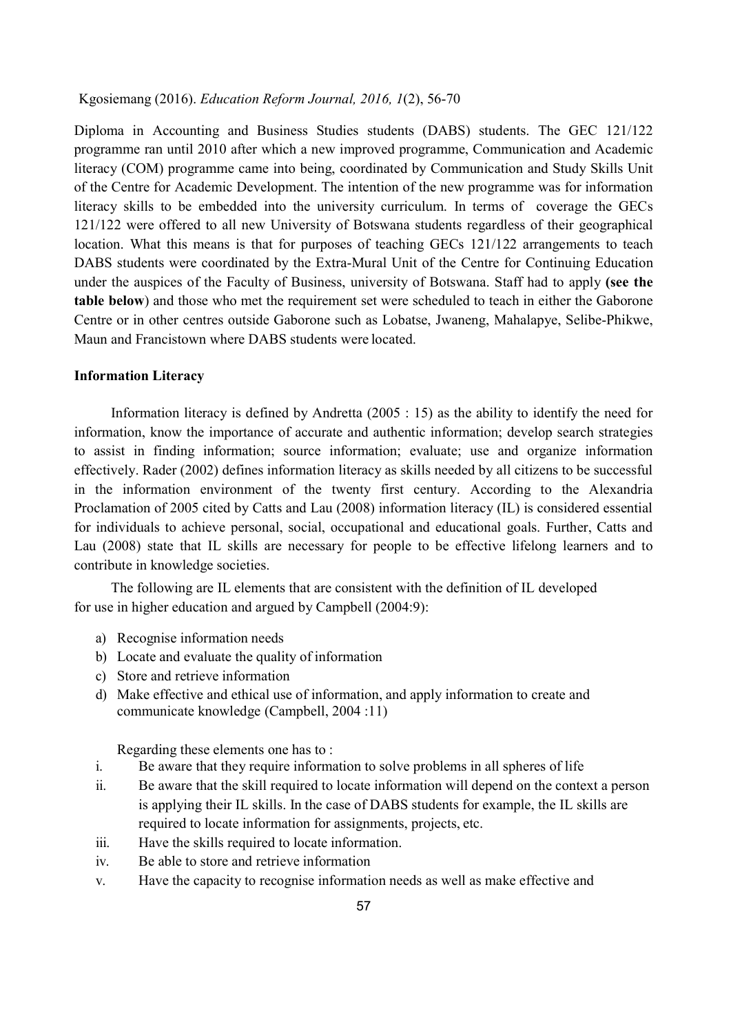Diploma in Accounting and Business Studies students (DABS) students. The GEC 121/122 programme ran until 2010 after which a new improved programme, Communication and Academic literacy (COM) programme came into being, coordinated by Communication and Study Skills Unit of the Centre for Academic Development. The intention of the new programme was for information literacy skills to be embedded into the university curriculum. In terms of coverage the GECs 121/122 were offered to all new University of Botswana students regardless of their geographical location. What this means is that for purposes of teaching GECs 121/122 arrangements to teach DABS students were coordinated by the Extra-Mural Unit of the Centre for Continuing Education under the auspices of the Faculty of Business, university of Botswana. Staff had to apply (see the table below) and those who met the requirement set were scheduled to teach in either the Gaborone Centre or in other centres outside Gaborone such as Lobatse, Jwaneng, Mahalapye, Selibe-Phikwe, Maun and Francistown where DABS students were located.

#### Information Literacy

Information literacy is defined by Andretta (2005 : 15) as the ability to identify the need for information, know the importance of accurate and authentic information; develop search strategies to assist in finding information; source information; evaluate; use and organize information effectively. Rader (2002) defines information literacy as skills needed by all citizens to be successful in the information environment of the twenty first century. According to the Alexandria Proclamation of 2005 cited by Catts and Lau (2008) information literacy (IL) is considered essential for individuals to achieve personal, social, occupational and educational goals. Further, Catts and Lau (2008) state that IL skills are necessary for people to be effective lifelong learners and to contribute in knowledge societies.

The following are IL elements that are consistent with the definition of IL developed for use in higher education and argued by Campbell (2004:9):

- a) Recognise information needs
- b) Locate and evaluate the quality of information
- c) Store and retrieve information
- d) Make effective and ethical use of information, and apply information to create and communicate knowledge (Campbell, 2004 :11)

Regarding these elements one has to :

- i. Be aware that they require information to solve problems in all spheres of life
- ii. Be aware that the skill required to locate information will depend on the context a person is applying their IL skills. In the case of DABS students for example, the IL skills are required to locate information for assignments, projects, etc.
- iii. Have the skills required to locate information.
- iv. Be able to store and retrieve information
- v. Have the capacity to recognise information needs as well as make effective and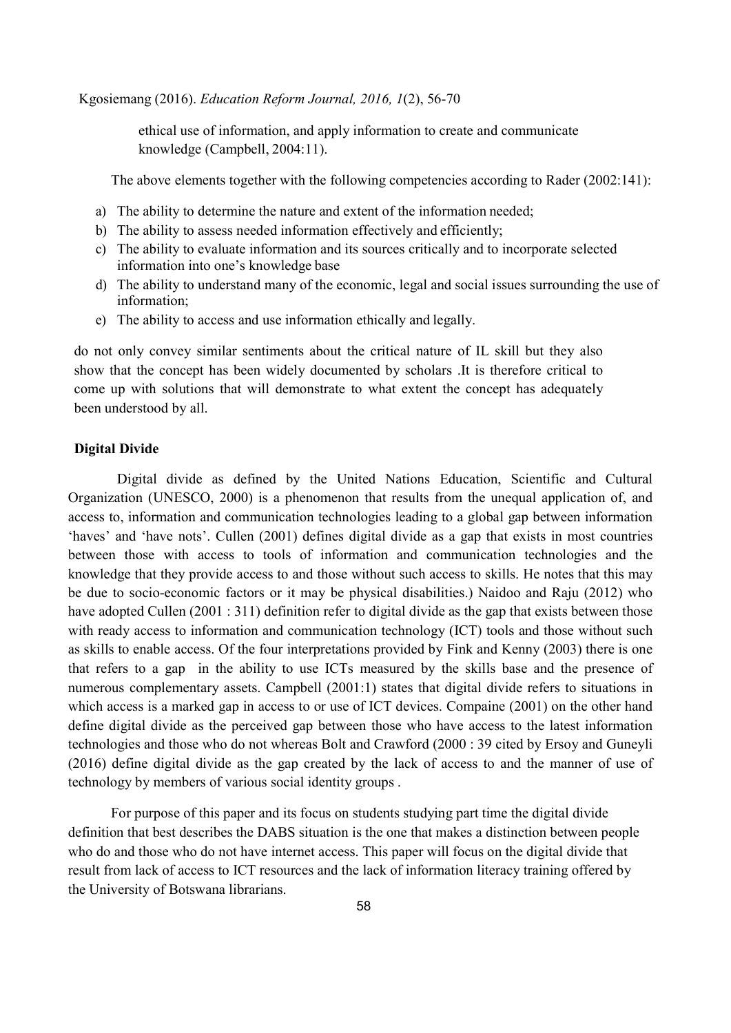ethical use of information, and apply information to create and communicate knowledge (Campbell, 2004:11).

The above elements together with the following competencies according to Rader (2002:141):

- a) The ability to determine the nature and extent of the information needed;
- b) The ability to assess needed information effectively and efficiently;
- c) The ability to evaluate information and its sources critically and to incorporate selected information into one's knowledge base
- d) The ability to understand many of the economic, legal and social issues surrounding the use of information;
- e) The ability to access and use information ethically and legally.

do not only convey similar sentiments about the critical nature of IL skill but they also show that the concept has been widely documented by scholars .It is therefore critical to come up with solutions that will demonstrate to what extent the concept has adequately been understood by all.

# Digital Divide

 Digital divide as defined by the United Nations Education, Scientific and Cultural Organization (UNESCO, 2000) is a phenomenon that results from the unequal application of, and access to, information and communication technologies leading to a global gap between information 'haves' and 'have nots'. Cullen (2001) defines digital divide as a gap that exists in most countries between those with access to tools of information and communication technologies and the knowledge that they provide access to and those without such access to skills. He notes that this may be due to socio-economic factors or it may be physical disabilities.) Naidoo and Raju (2012) who have adopted Cullen (2001 : 311) definition refer to digital divide as the gap that exists between those with ready access to information and communication technology (ICT) tools and those without such as skills to enable access. Of the four interpretations provided by Fink and Kenny (2003) there is one that refers to a gap in the ability to use ICTs measured by the skills base and the presence of numerous complementary assets. Campbell (2001:1) states that digital divide refers to situations in which access is a marked gap in access to or use of ICT devices. Compaine (2001) on the other hand define digital divide as the perceived gap between those who have access to the latest information technologies and those who do not whereas Bolt and Crawford (2000 : 39 cited by Ersoy and Guneyli (2016) define digital divide as the gap created by the lack of access to and the manner of use of technology by members of various social identity groups .

For purpose of this paper and its focus on students studying part time the digital divide definition that best describes the DABS situation is the one that makes a distinction between people who do and those who do not have internet access. This paper will focus on the digital divide that result from lack of access to ICT resources and the lack of information literacy training offered by the University of Botswana librarians.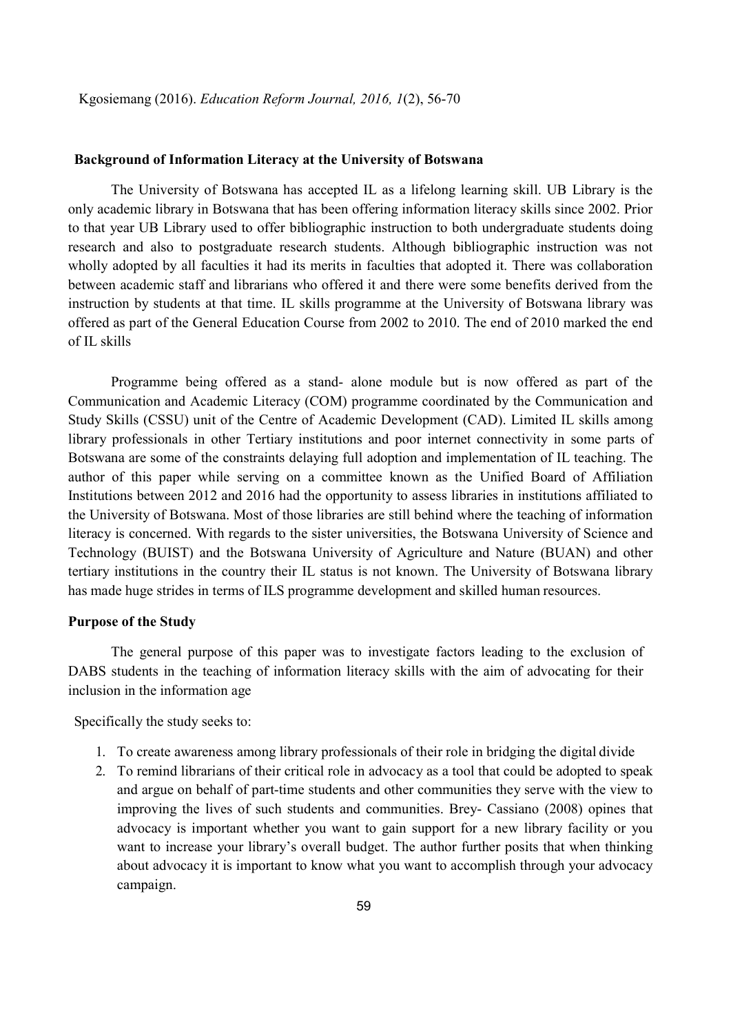# Background of Information Literacy at the University of Botswana

The University of Botswana has accepted IL as a lifelong learning skill. UB Library is the only academic library in Botswana that has been offering information literacy skills since 2002. Prior to that year UB Library used to offer bibliographic instruction to both undergraduate students doing research and also to postgraduate research students. Although bibliographic instruction was not wholly adopted by all faculties it had its merits in faculties that adopted it. There was collaboration between academic staff and librarians who offered it and there were some benefits derived from the instruction by students at that time. IL skills programme at the University of Botswana library was offered as part of the General Education Course from 2002 to 2010. The end of 2010 marked the end of IL skills

Programme being offered as a stand- alone module but is now offered as part of the Communication and Academic Literacy (COM) programme coordinated by the Communication and Study Skills (CSSU) unit of the Centre of Academic Development (CAD). Limited IL skills among library professionals in other Tertiary institutions and poor internet connectivity in some parts of Botswana are some of the constraints delaying full adoption and implementation of IL teaching. The author of this paper while serving on a committee known as the Unified Board of Affiliation Institutions between 2012 and 2016 had the opportunity to assess libraries in institutions affiliated to the University of Botswana. Most of those libraries are still behind where the teaching of information literacy is concerned. With regards to the sister universities, the Botswana University of Science and Technology (BUIST) and the Botswana University of Agriculture and Nature (BUAN) and other tertiary institutions in the country their IL status is not known. The University of Botswana library has made huge strides in terms of ILS programme development and skilled human resources.

#### Purpose of the Study

The general purpose of this paper was to investigate factors leading to the exclusion of DABS students in the teaching of information literacy skills with the aim of advocating for their inclusion in the information age

Specifically the study seeks to:

- 1. To create awareness among library professionals of their role in bridging the digital divide
- 2. To remind librarians of their critical role in advocacy as a tool that could be adopted to speak and argue on behalf of part-time students and other communities they serve with the view to improving the lives of such students and communities. Brey- Cassiano (2008) opines that advocacy is important whether you want to gain support for a new library facility or you want to increase your library's overall budget. The author further posits that when thinking about advocacy it is important to know what you want to accomplish through your advocacy campaign.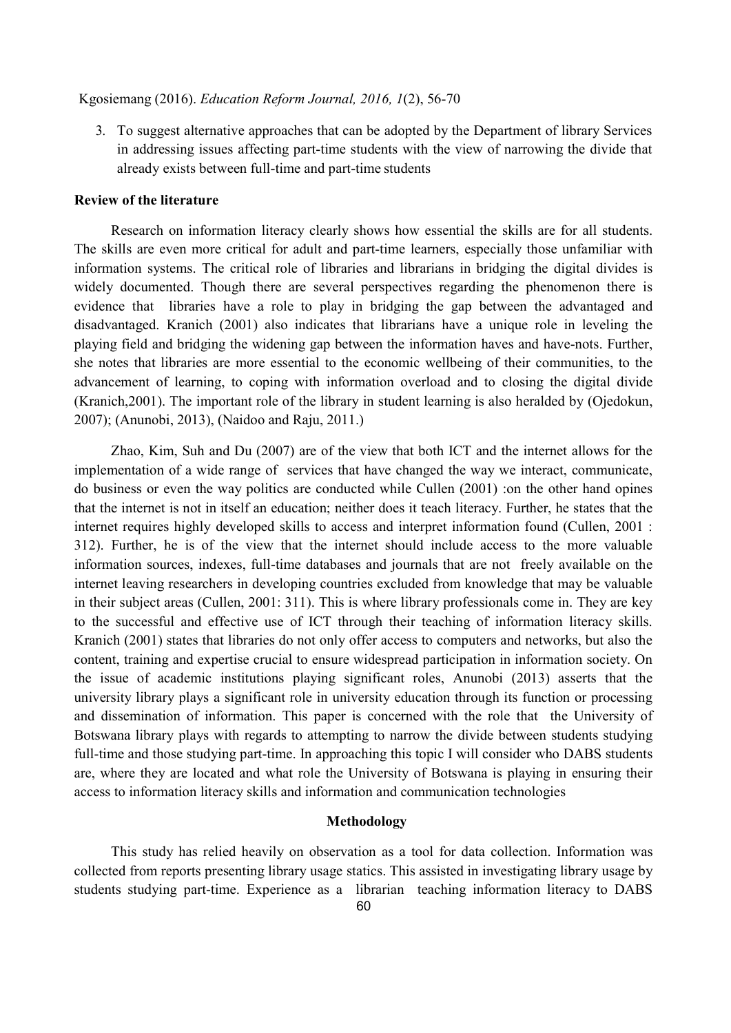3. To suggest alternative approaches that can be adopted by the Department of library Services in addressing issues affecting part-time students with the view of narrowing the divide that already exists between full-time and part-time students

# Review of the literature

Research on information literacy clearly shows how essential the skills are for all students. The skills are even more critical for adult and part-time learners, especially those unfamiliar with information systems. The critical role of libraries and librarians in bridging the digital divides is widely documented. Though there are several perspectives regarding the phenomenon there is evidence that libraries have a role to play in bridging the gap between the advantaged and disadvantaged. Kranich (2001) also indicates that librarians have a unique role in leveling the playing field and bridging the widening gap between the information haves and have-nots. Further, she notes that libraries are more essential to the economic wellbeing of their communities, to the advancement of learning, to coping with information overload and to closing the digital divide (Kranich,2001). The important role of the library in student learning is also heralded by (Ojedokun, 2007); (Anunobi, 2013), (Naidoo and Raju, 2011.)

Zhao, Kim, Suh and Du (2007) are of the view that both ICT and the internet allows for the implementation of a wide range of services that have changed the way we interact, communicate, do business or even the way politics are conducted while Cullen (2001) :on the other hand opines that the internet is not in itself an education; neither does it teach literacy. Further, he states that the internet requires highly developed skills to access and interpret information found (Cullen, 2001 : 312). Further, he is of the view that the internet should include access to the more valuable information sources, indexes, full-time databases and journals that are not freely available on the internet leaving researchers in developing countries excluded from knowledge that may be valuable in their subject areas (Cullen, 2001: 311). This is where library professionals come in. They are key to the successful and effective use of ICT through their teaching of information literacy skills. Kranich (2001) states that libraries do not only offer access to computers and networks, but also the content, training and expertise crucial to ensure widespread participation in information society. On the issue of academic institutions playing significant roles, Anunobi (2013) asserts that the university library plays a significant role in university education through its function or processing and dissemination of information. This paper is concerned with the role that the University of Botswana library plays with regards to attempting to narrow the divide between students studying full-time and those studying part-time. In approaching this topic I will consider who DABS students are, where they are located and what role the University of Botswana is playing in ensuring their access to information literacy skills and information and communication technologies

## Methodology

This study has relied heavily on observation as a tool for data collection. Information was collected from reports presenting library usage statics. This assisted in investigating library usage by students studying part-time. Experience as a librarian teaching information literacy to DABS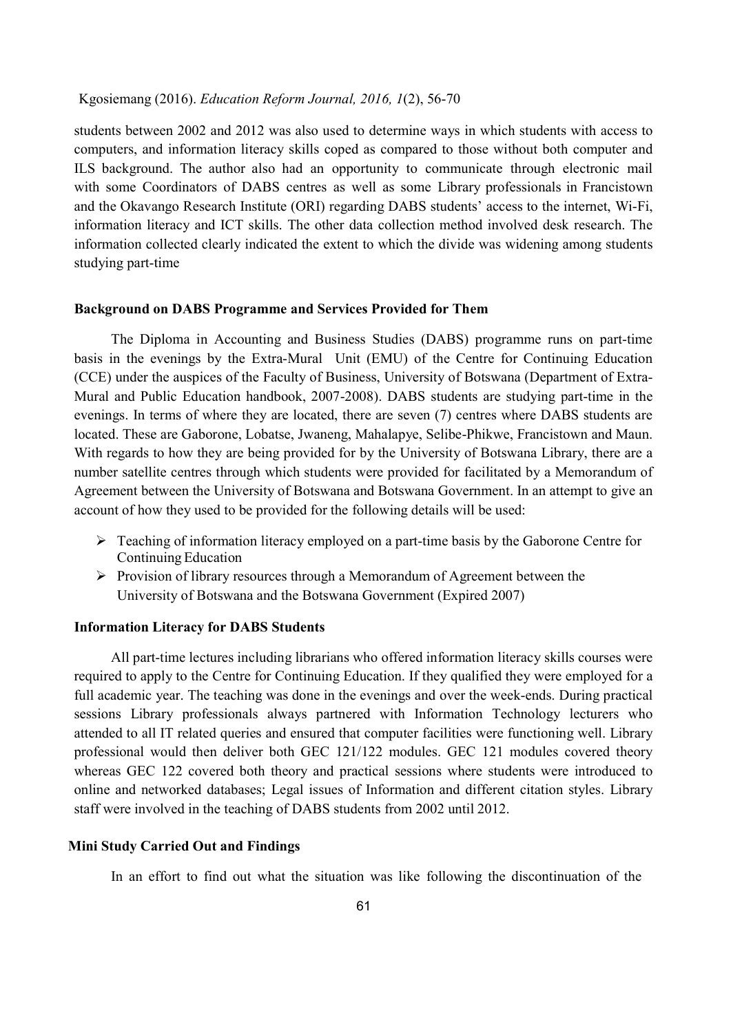students between 2002 and 2012 was also used to determine ways in which students with access to computers, and information literacy skills coped as compared to those without both computer and ILS background. The author also had an opportunity to communicate through electronic mail with some Coordinators of DABS centres as well as some Library professionals in Francistown and the Okavango Research Institute (ORI) regarding DABS students' access to the internet, Wi-Fi, information literacy and ICT skills. The other data collection method involved desk research. The information collected clearly indicated the extent to which the divide was widening among students studying part-time

#### Background on DABS Programme and Services Provided for Them

The Diploma in Accounting and Business Studies (DABS) programme runs on part-time basis in the evenings by the Extra-Mural Unit (EMU) of the Centre for Continuing Education (CCE) under the auspices of the Faculty of Business, University of Botswana (Department of Extra-Mural and Public Education handbook, 2007-2008). DABS students are studying part-time in the evenings. In terms of where they are located, there are seven (7) centres where DABS students are located. These are Gaborone, Lobatse, Jwaneng, Mahalapye, Selibe-Phikwe, Francistown and Maun. With regards to how they are being provided for by the University of Botswana Library, there are a number satellite centres through which students were provided for facilitated by a Memorandum of Agreement between the University of Botswana and Botswana Government. In an attempt to give an account of how they used to be provided for the following details will be used:

- $\triangleright$  Teaching of information literacy employed on a part-time basis by the Gaborone Centre for Continuing Education
- $\triangleright$  Provision of library resources through a Memorandum of Agreement between the University of Botswana and the Botswana Government (Expired 2007)

# Information Literacy for DABS Students

All part-time lectures including librarians who offered information literacy skills courses were required to apply to the Centre for Continuing Education. If they qualified they were employed for a full academic year. The teaching was done in the evenings and over the week-ends. During practical sessions Library professionals always partnered with Information Technology lecturers who attended to all IT related queries and ensured that computer facilities were functioning well. Library professional would then deliver both GEC 121/122 modules. GEC 121 modules covered theory whereas GEC 122 covered both theory and practical sessions where students were introduced to online and networked databases; Legal issues of Information and different citation styles. Library staff were involved in the teaching of DABS students from 2002 until 2012.

## Mini Study Carried Out and Findings

In an effort to find out what the situation was like following the discontinuation of the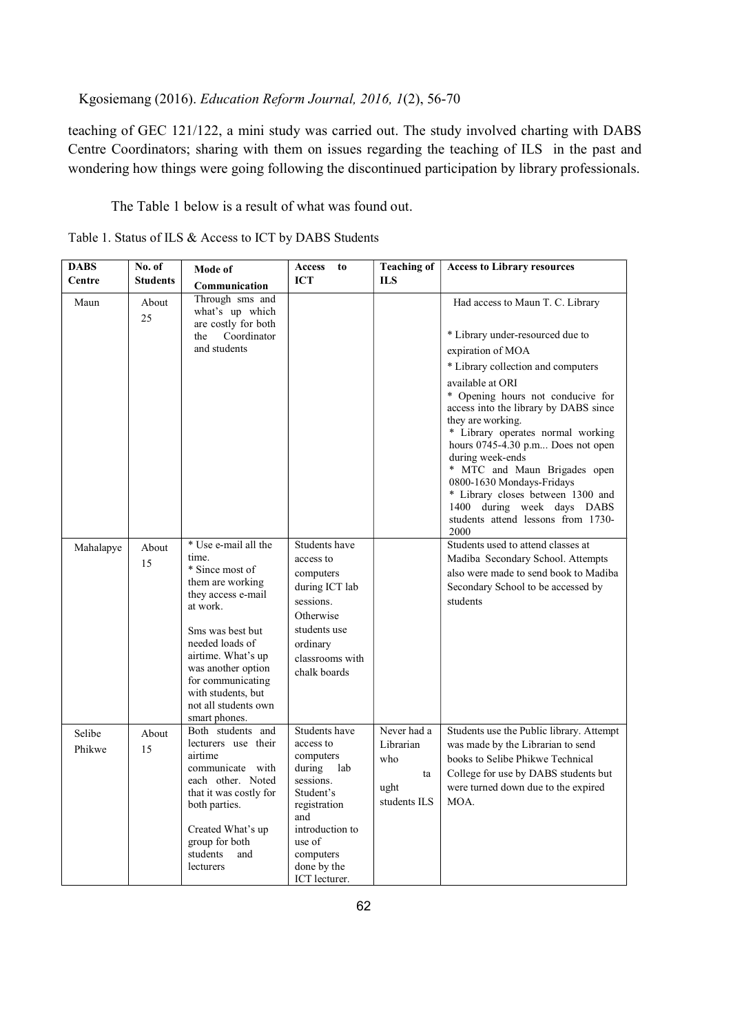teaching of GEC 121/122, a mini study was carried out. The study involved charting with DABS Centre Coordinators; sharing with them on issues regarding the teaching of ILS in the past and wondering how things were going following the discontinued participation by library professionals.

The Table 1 below is a result of what was found out.

Table 1. Status of ILS & Access to ICT by DABS Students

| <b>DABS</b><br>Centre | No. of<br><b>Students</b> | Mode of<br>Communication                                                                                                                                                                                                                                                      | Access<br>to<br><b>ICT</b>                                                                                                                                                       | <b>Teaching of</b><br><b>ILS</b>                              | <b>Access to Library resources</b>                                                                                                                                                                                                                                                                                                                                                                                |
|-----------------------|---------------------------|-------------------------------------------------------------------------------------------------------------------------------------------------------------------------------------------------------------------------------------------------------------------------------|----------------------------------------------------------------------------------------------------------------------------------------------------------------------------------|---------------------------------------------------------------|-------------------------------------------------------------------------------------------------------------------------------------------------------------------------------------------------------------------------------------------------------------------------------------------------------------------------------------------------------------------------------------------------------------------|
| Maun                  | About<br>25               | Through sms and<br>what's up which<br>are costly for both<br>Coordinator<br>the<br>and students                                                                                                                                                                               |                                                                                                                                                                                  |                                                               | Had access to Maun T. C. Library<br>* Library under-resourced due to<br>expiration of MOA<br>* Library collection and computers<br>available at ORI<br>* Opening hours not conducive for<br>access into the library by DABS since<br>they are working.<br>* Library operates normal working<br>hours 0745-4.30 p.m Does not open<br>during week-ends<br>* MTC and Maun Brigades open<br>0800-1630 Mondays-Fridays |
|                       |                           |                                                                                                                                                                                                                                                                               |                                                                                                                                                                                  |                                                               | * Library closes between 1300 and<br>1400 during week days DABS<br>students attend lessons from 1730-<br>2000                                                                                                                                                                                                                                                                                                     |
| Mahalapye             | About<br>15               | * Use e-mail all the<br>time.<br>* Since most of<br>them are working<br>they access e-mail<br>at work.<br>Sms was best but<br>needed loads of<br>airtime. What's up<br>was another option<br>for communicating<br>with students, but<br>not all students own<br>smart phones. | Students have<br>access to<br>computers<br>during ICT lab<br>sessions.<br>Otherwise<br>students use<br>ordinary<br>classrooms with<br>chalk boards                               |                                                               | Students used to attend classes at<br>Madiba Secondary School. Attempts<br>also were made to send book to Madiba<br>Secondary School to be accessed by<br>students                                                                                                                                                                                                                                                |
| Selibe<br>Phikwe      | About<br>15               | Both students and<br>lecturers use their<br>airtime<br>communicate with<br>each other. Noted<br>that it was costly for<br>both parties.<br>Created What's up<br>group for both<br>students<br>and<br>lecturers                                                                | Students have<br>access to<br>computers<br>during lab<br>sessions.<br>Student's<br>registration<br>and<br>introduction to<br>use of<br>computers<br>done by the<br>ICT lecturer. | Never had a<br>Librarian<br>who<br>ta<br>ught<br>students ILS | Students use the Public library. Attempt<br>was made by the Librarian to send<br>books to Selibe Phikwe Technical<br>College for use by DABS students but<br>were turned down due to the expired<br>MOA.                                                                                                                                                                                                          |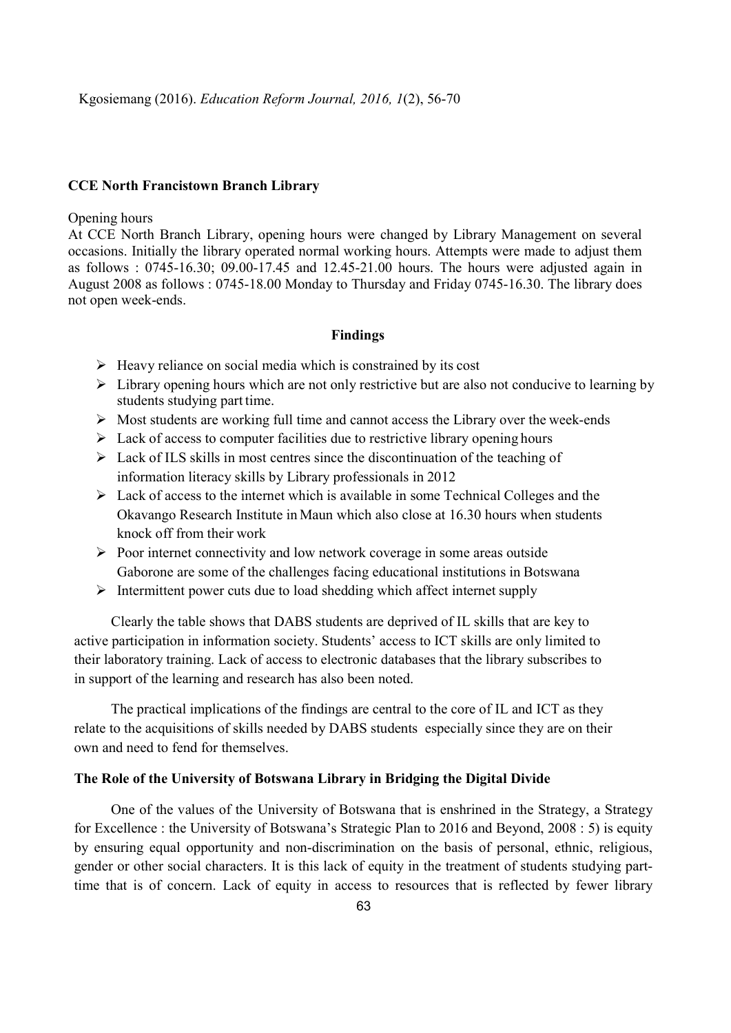#### CCE North Francistown Branch Library

#### Opening hours

At CCE North Branch Library, opening hours were changed by Library Management on several occasions. Initially the library operated normal working hours. Attempts were made to adjust them as follows : 0745-16.30; 09.00-17.45 and 12.45-21.00 hours. The hours were adjusted again in August 2008 as follows : 0745-18.00 Monday to Thursday and Friday 0745-16.30. The library does not open week-ends.

## Findings

- $\triangleright$  Heavy reliance on social media which is constrained by its cost
- $\triangleright$  Library opening hours which are not only restrictive but are also not conducive to learning by students studying part time.
- $\triangleright$  Most students are working full time and cannot access the Library over the week-ends
- $\triangleright$  Lack of access to computer facilities due to restrictive library opening hours
- $\triangleright$  Lack of ILS skills in most centres since the discontinuation of the teaching of information literacy skills by Library professionals in 2012
- $\triangleright$  Lack of access to the internet which is available in some Technical Colleges and the Okavango Research Institute in Maun which also close at 16.30 hours when students knock off from their work
- $\triangleright$  Poor internet connectivity and low network coverage in some areas outside Gaborone are some of the challenges facing educational institutions in Botswana
- $\triangleright$  Intermittent power cuts due to load shedding which affect internet supply

Clearly the table shows that DABS students are deprived of IL skills that are key to active participation in information society. Students' access to ICT skills are only limited to their laboratory training. Lack of access to electronic databases that the library subscribes to in support of the learning and research has also been noted.

The practical implications of the findings are central to the core of IL and ICT as they relate to the acquisitions of skills needed by DABS students especially since they are on their own and need to fend for themselves.

# The Role of the University of Botswana Library in Bridging the Digital Divide

One of the values of the University of Botswana that is enshrined in the Strategy, a Strategy for Excellence : the University of Botswana's Strategic Plan to 2016 and Beyond, 2008 : 5) is equity by ensuring equal opportunity and non-discrimination on the basis of personal, ethnic, religious, gender or other social characters. It is this lack of equity in the treatment of students studying parttime that is of concern. Lack of equity in access to resources that is reflected by fewer library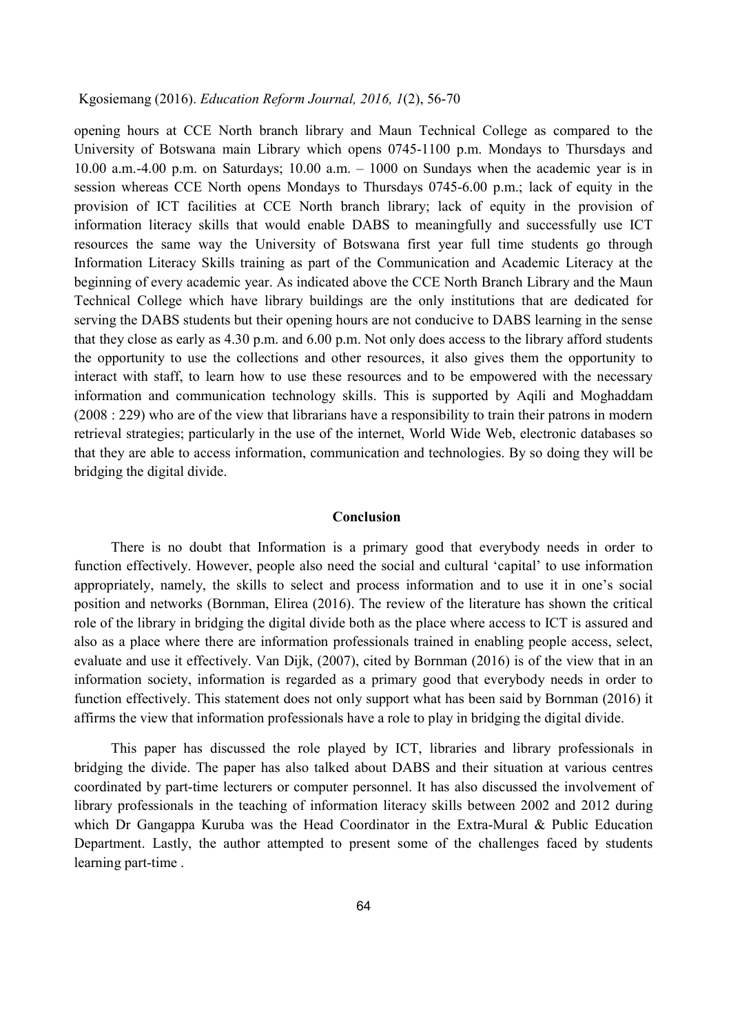opening hours at CCE North branch library and Maun Technical College as compared to the University of Botswana main Library which opens 0745-1100 p.m. Mondays to Thursdays and 10.00 a.m.-4.00 p.m. on Saturdays; 10.00 a.m. – 1000 on Sundays when the academic year is in session whereas CCE North opens Mondays to Thursdays 0745-6.00 p.m.; lack of equity in the provision of ICT facilities at CCE North branch library; lack of equity in the provision of information literacy skills that would enable DABS to meaningfully and successfully use ICT resources the same way the University of Botswana first year full time students go through Information Literacy Skills training as part of the Communication and Academic Literacy at the beginning of every academic year. As indicated above the CCE North Branch Library and the Maun Technical College which have library buildings are the only institutions that are dedicated for serving the DABS students but their opening hours are not conducive to DABS learning in the sense that they close as early as 4.30 p.m. and 6.00 p.m. Not only does access to the library afford students the opportunity to use the collections and other resources, it also gives them the opportunity to interact with staff, to learn how to use these resources and to be empowered with the necessary information and communication technology skills. This is supported by Aqili and Moghaddam (2008 : 229) who are of the view that librarians have a responsibility to train their patrons in modern retrieval strategies; particularly in the use of the internet, World Wide Web, electronic databases so that they are able to access information, communication and technologies. By so doing they will be bridging the digital divide.

## Conclusion

There is no doubt that Information is a primary good that everybody needs in order to function effectively. However, people also need the social and cultural 'capital' to use information appropriately, namely, the skills to select and process information and to use it in one's social position and networks (Bornman, Elirea (2016). The review of the literature has shown the critical role of the library in bridging the digital divide both as the place where access to ICT is assured and also as a place where there are information professionals trained in enabling people access, select, evaluate and use it effectively. Van Dijk, (2007), cited by Bornman (2016) is of the view that in an information society, information is regarded as a primary good that everybody needs in order to function effectively. This statement does not only support what has been said by Bornman (2016) it affirms the view that information professionals have a role to play in bridging the digital divide.

This paper has discussed the role played by ICT, libraries and library professionals in bridging the divide. The paper has also talked about DABS and their situation at various centres coordinated by part-time lecturers or computer personnel. It has also discussed the involvement of library professionals in the teaching of information literacy skills between 2002 and 2012 during which Dr Gangappa Kuruba was the Head Coordinator in the Extra-Mural & Public Education Department. Lastly, the author attempted to present some of the challenges faced by students learning part-time .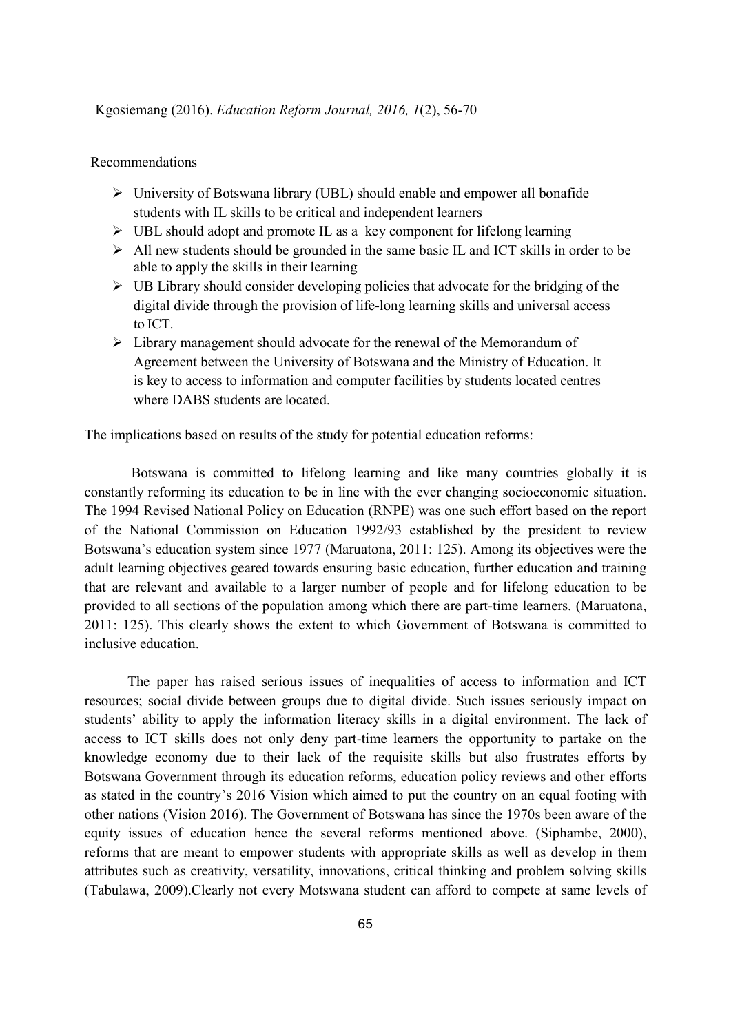# Recommendations

- $\triangleright$  University of Botswana library (UBL) should enable and empower all bonafide students with IL skills to be critical and independent learners
- $\triangleright$  UBL should adopt and promote IL as a key component for lifelong learning
- $\triangleright$  All new students should be grounded in the same basic IL and ICT skills in order to be able to apply the skills in their learning
- $\triangleright$  UB Library should consider developing policies that advocate for the bridging of the digital divide through the provision of life-long learning skills and universal access to ICT.
- $\triangleright$  Library management should advocate for the renewal of the Memorandum of Agreement between the University of Botswana and the Ministry of Education. It is key to access to information and computer facilities by students located centres where DABS students are located.

The implications based on results of the study for potential education reforms:

 Botswana is committed to lifelong learning and like many countries globally it is constantly reforming its education to be in line with the ever changing socioeconomic situation. The 1994 Revised National Policy on Education (RNPE) was one such effort based on the report of the National Commission on Education 1992/93 established by the president to review Botswana's education system since 1977 (Maruatona, 2011: 125). Among its objectives were the adult learning objectives geared towards ensuring basic education, further education and training that are relevant and available to a larger number of people and for lifelong education to be provided to all sections of the population among which there are part-time learners. (Maruatona, 2011: 125). This clearly shows the extent to which Government of Botswana is committed to inclusive education.

The paper has raised serious issues of inequalities of access to information and ICT resources; social divide between groups due to digital divide. Such issues seriously impact on students' ability to apply the information literacy skills in a digital environment. The lack of access to ICT skills does not only deny part-time learners the opportunity to partake on the knowledge economy due to their lack of the requisite skills but also frustrates efforts by Botswana Government through its education reforms, education policy reviews and other efforts as stated in the country's 2016 Vision which aimed to put the country on an equal footing with other nations (Vision 2016). The Government of Botswana has since the 1970s been aware of the equity issues of education hence the several reforms mentioned above. (Siphambe, 2000), reforms that are meant to empower students with appropriate skills as well as develop in them attributes such as creativity, versatility, innovations, critical thinking and problem solving skills (Tabulawa, 2009).Clearly not every Motswana student can afford to compete at same levels of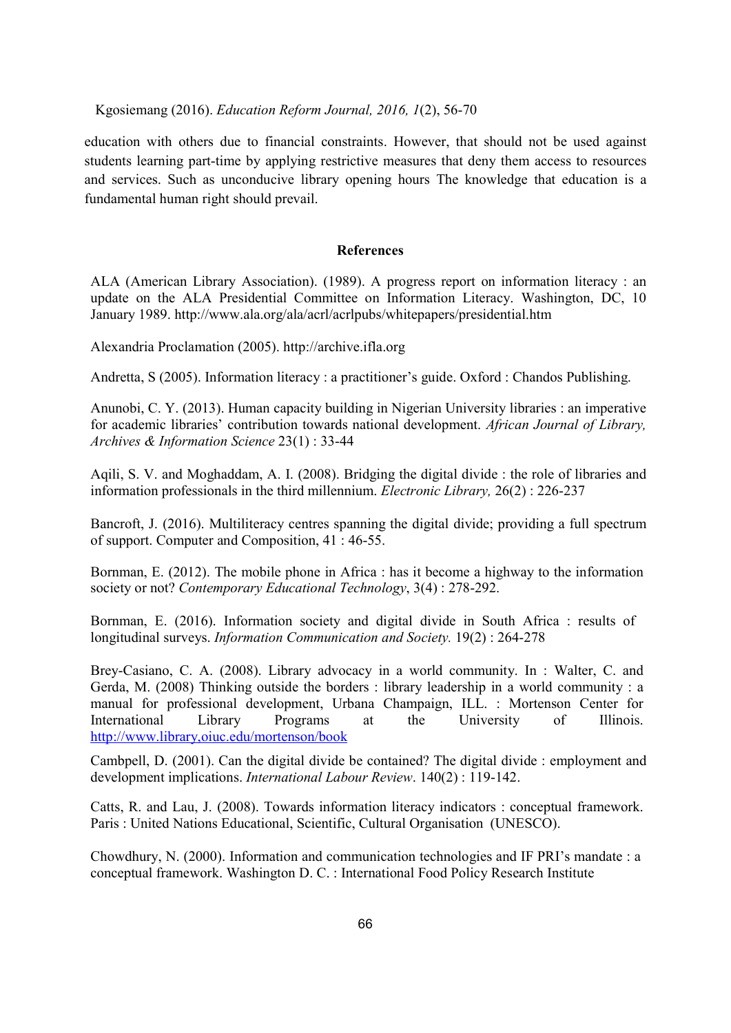education with others due to financial constraints. However, that should not be used against students learning part-time by applying restrictive measures that deny them access to resources and services. Such as unconducive library opening hours The knowledge that education is a fundamental human right should prevail.

## References

ALA (American Library Association). (1989). A progress report on information literacy : an update on the ALA Presidential Committee on Information Literacy. Washington, DC, 10 January 1989. http://www.ala.org/ala/acrl/acrlpubs/whitepapers/presidential.htm

Alexandria Proclamation (2005). http://archive.ifla.org

Andretta, S (2005). Information literacy : a practitioner's guide. Oxford : Chandos Publishing.

Anunobi, C. Y. (2013). Human capacity building in Nigerian University libraries : an imperative for academic libraries' contribution towards national development. African Journal of Library, Archives & Information Science 23(1) : 33-44

Aqili, S. V. and Moghaddam, A. I. (2008). Bridging the digital divide : the role of libraries and information professionals in the third millennium. Electronic Library, 26(2) : 226-237

Bancroft, J. (2016). Multiliteracy centres spanning the digital divide; providing a full spectrum of support. Computer and Composition, 41 : 46-55.

Bornman, E. (2012). The mobile phone in Africa : has it become a highway to the information society or not? Contemporary Educational Technology, 3(4): 278-292.

Bornman, E. (2016). Information society and digital divide in South Africa : results of longitudinal surveys. Information Communication and Society. 19(2) : 264-278

Brey-Casiano, C. A. (2008). Library advocacy in a world community. In : Walter, C. and Gerda, M. (2008) Thinking outside the borders : library leadership in a world community : a manual for professional development, Urbana Champaign, ILL. : Mortenson Center for International Library Programs at the University of Illinois. http://www.library,oiuc.edu/mortenson/book

Cambpell, D. (2001). Can the digital divide be contained? The digital divide : employment and development implications. International Labour Review. 140(2) : 119-142.

Catts, R. and Lau, J. (2008). Towards information literacy indicators : conceptual framework. Paris : United Nations Educational, Scientific, Cultural Organisation (UNESCO).

Chowdhury, N. (2000). Information and communication technologies and IF PRI's mandate : a conceptual framework. Washington D. C. : International Food Policy Research Institute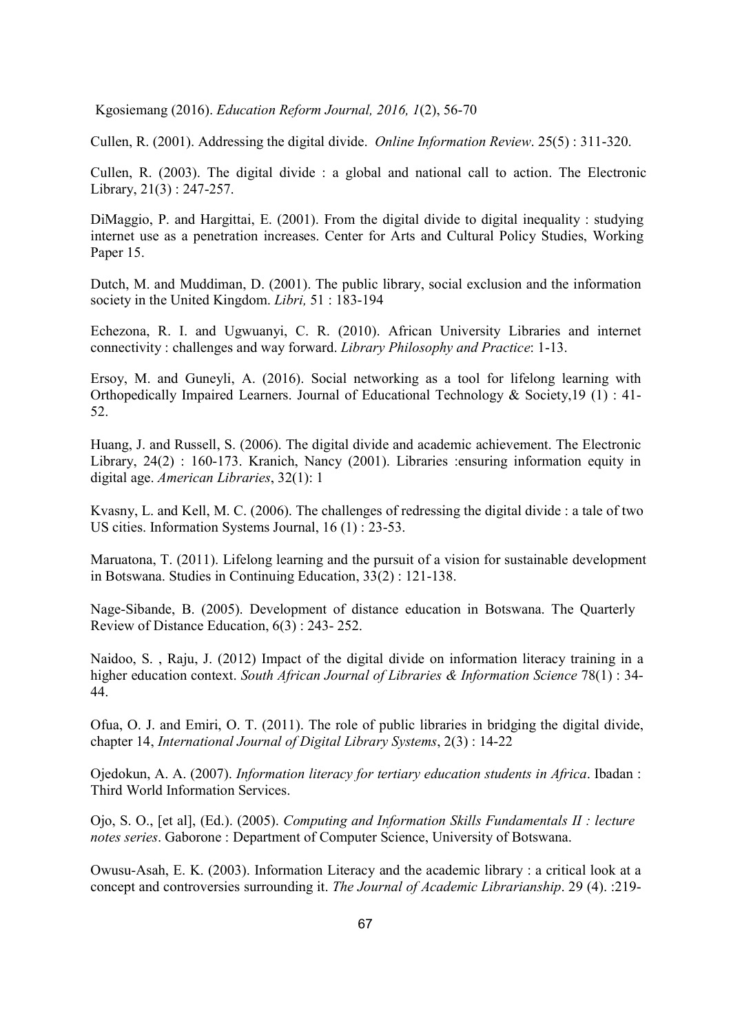Cullen, R. (2001). Addressing the digital divide. Online Information Review. 25(5) : 311-320.

Cullen, R. (2003). The digital divide : a global and national call to action. The Electronic Library, 21(3) : 247-257.

DiMaggio, P. and Hargittai, E. (2001). From the digital divide to digital inequality : studying internet use as a penetration increases. Center for Arts and Cultural Policy Studies, Working Paper 15.

Dutch, M. and Muddiman, D. (2001). The public library, social exclusion and the information society in the United Kingdom. Libri, 51:183-194

Echezona, R. I. and Ugwuanyi, C. R. (2010). African University Libraries and internet connectivity : challenges and way forward. Library Philosophy and Practice: 1-13.

Ersoy, M. and Guneyli, A. (2016). Social networking as a tool for lifelong learning with Orthopedically Impaired Learners. Journal of Educational Technology & Society,19 (1) : 41- 52.

Huang, J. and Russell, S. (2006). The digital divide and academic achievement. The Electronic Library, 24(2) : 160-173. Kranich, Nancy (2001). Libraries :ensuring information equity in digital age. American Libraries, 32(1): 1

Kvasny, L. and Kell, M. C. (2006). The challenges of redressing the digital divide : a tale of two US cities. Information Systems Journal, 16 (1) : 23-53.

Maruatona, T. (2011). Lifelong learning and the pursuit of a vision for sustainable development in Botswana. Studies in Continuing Education, 33(2) : 121-138.

Nage-Sibande, B. (2005). Development of distance education in Botswana. The Quarterly Review of Distance Education, 6(3) : 243- 252.

Naidoo, S. , Raju, J. (2012) Impact of the digital divide on information literacy training in a higher education context. South African Journal of Libraries & Information Science 78(1) : 34-44.

Ofua, O. J. and Emiri, O. T. (2011). The role of public libraries in bridging the digital divide, chapter 14, International Journal of Digital Library Systems, 2(3) : 14-22

Ojedokun, A. A. (2007). Information literacy for tertiary education students in Africa. Ibadan : Third World Information Services.

Ojo, S. O., [et al], (Ed.). (2005). Computing and Information Skills Fundamentals II : lecture notes series. Gaborone : Department of Computer Science, University of Botswana.

Owusu-Asah, E. K. (2003). Information Literacy and the academic library : a critical look at a concept and controversies surrounding it. The Journal of Academic Librarianship. 29 (4). :219-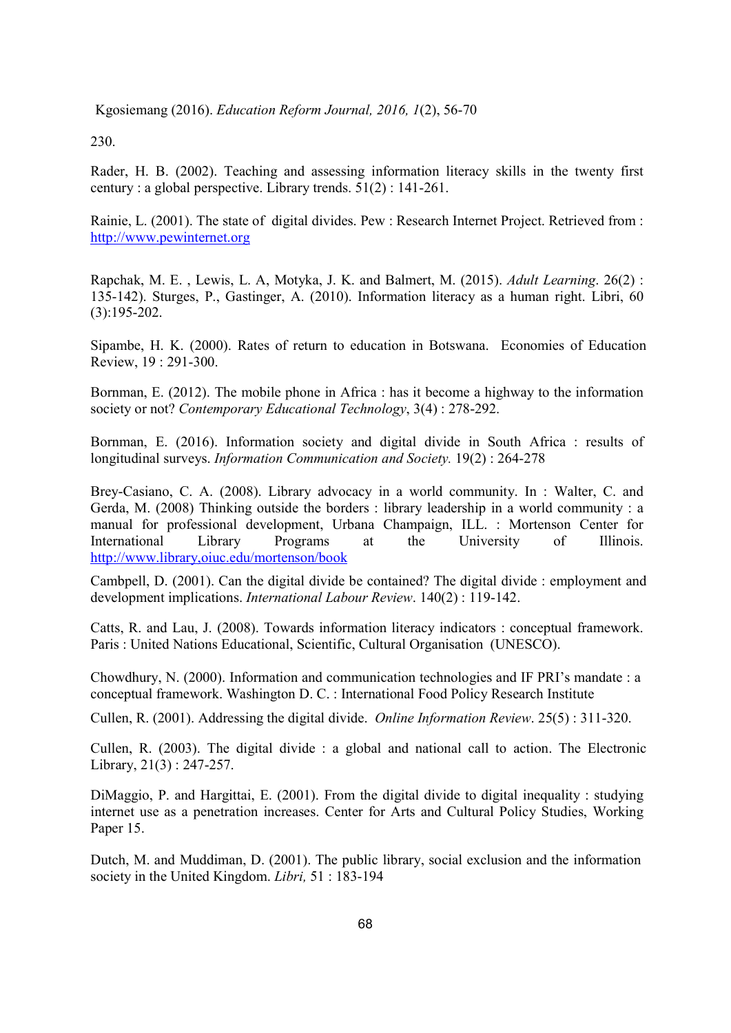230.

Rader, H. B. (2002). Teaching and assessing information literacy skills in the twenty first century : a global perspective. Library trends. 51(2) : 141-261.

Rainie, L. (2001). The state of digital divides. Pew : Research Internet Project. Retrieved from : http://www.pewinternet.org

Rapchak, M. E. , Lewis, L. A, Motyka, J. K. and Balmert, M. (2015). Adult Learning. 26(2) : 135-142). Sturges, P., Gastinger, A. (2010). Information literacy as a human right. Libri, 60 (3):195-202.

Sipambe, H. K. (2000). Rates of return to education in Botswana. Economies of Education Review, 19 : 291-300.

Bornman, E. (2012). The mobile phone in Africa : has it become a highway to the information society or not? Contemporary Educational Technology, 3(4): 278-292.

Bornman, E. (2016). Information society and digital divide in South Africa : results of longitudinal surveys. Information Communication and Society. 19(2) : 264-278

Brey-Casiano, C. A. (2008). Library advocacy in a world community. In : Walter, C. and Gerda, M. (2008) Thinking outside the borders : library leadership in a world community : a manual for professional development, Urbana Champaign, ILL. : Mortenson Center for International Library Programs at the University of Illinois. http://www.library,oiuc.edu/mortenson/book

Cambpell, D. (2001). Can the digital divide be contained? The digital divide : employment and development implications. International Labour Review. 140(2) : 119-142.

Catts, R. and Lau, J. (2008). Towards information literacy indicators : conceptual framework. Paris : United Nations Educational, Scientific, Cultural Organisation (UNESCO).

Chowdhury, N. (2000). Information and communication technologies and IF PRI's mandate : a conceptual framework. Washington D. C. : International Food Policy Research Institute

Cullen, R. (2001). Addressing the digital divide. Online Information Review. 25(5) : 311-320.

Cullen, R. (2003). The digital divide : a global and national call to action. The Electronic Library, 21(3) : 247-257.

DiMaggio, P. and Hargittai, E. (2001). From the digital divide to digital inequality : studying internet use as a penetration increases. Center for Arts and Cultural Policy Studies, Working Paper 15.

Dutch, M. and Muddiman, D. (2001). The public library, social exclusion and the information society in the United Kingdom. *Libri*, 51:183-194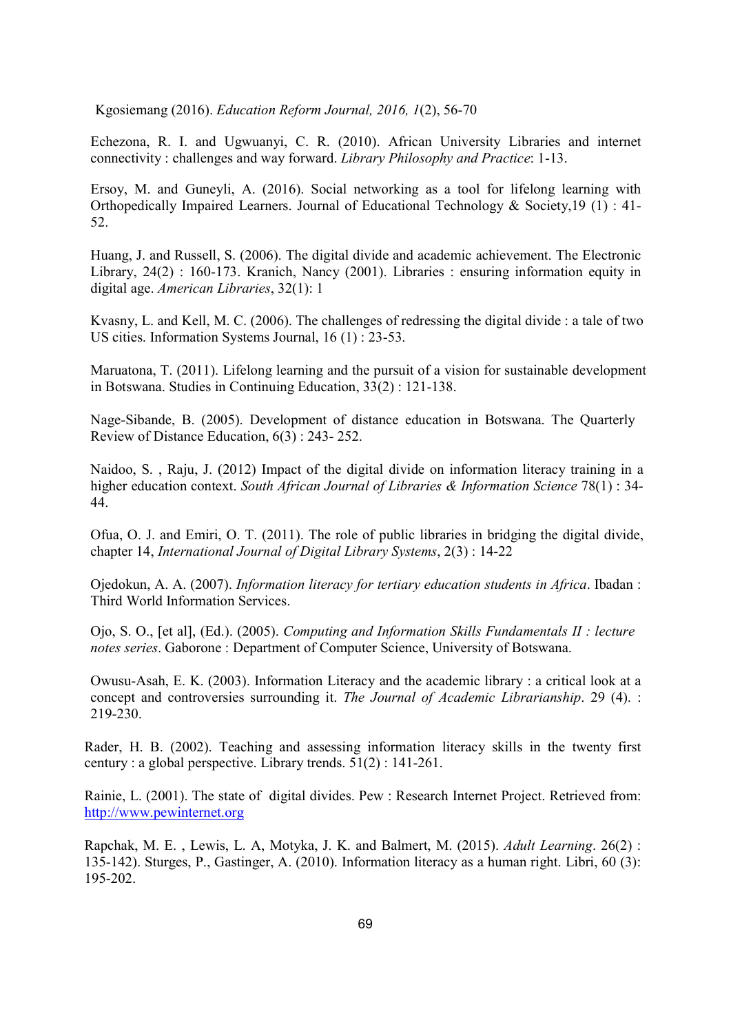Echezona, R. I. and Ugwuanyi, C. R. (2010). African University Libraries and internet connectivity : challenges and way forward. Library Philosophy and Practice: 1-13.

Ersoy, M. and Guneyli, A. (2016). Social networking as a tool for lifelong learning with Orthopedically Impaired Learners. Journal of Educational Technology & Society,19 (1) : 41- 52.

Huang, J. and Russell, S. (2006). The digital divide and academic achievement. The Electronic Library, 24(2) : 160-173. Kranich, Nancy (2001). Libraries : ensuring information equity in digital age. American Libraries, 32(1): 1

Kvasny, L. and Kell, M. C. (2006). The challenges of redressing the digital divide : a tale of two US cities. Information Systems Journal, 16 (1) : 23-53.

Maruatona, T. (2011). Lifelong learning and the pursuit of a vision for sustainable development in Botswana. Studies in Continuing Education, 33(2) : 121-138.

Nage-Sibande, B. (2005). Development of distance education in Botswana. The Quarterly Review of Distance Education, 6(3) : 243- 252.

Naidoo, S. , Raju, J. (2012) Impact of the digital divide on information literacy training in a higher education context. South African Journal of Libraries & Information Science 78(1) : 34-44.

Ofua, O. J. and Emiri, O. T. (2011). The role of public libraries in bridging the digital divide, chapter 14, International Journal of Digital Library Systems, 2(3) : 14-22

Ojedokun, A. A. (2007). Information literacy for tertiary education students in Africa. Ibadan : Third World Information Services.

Ojo, S. O., [et al], (Ed.). (2005). Computing and Information Skills Fundamentals II : lecture notes series. Gaborone : Department of Computer Science, University of Botswana.

Owusu-Asah, E. K. (2003). Information Literacy and the academic library : a critical look at a concept and controversies surrounding it. The Journal of Academic Librarianship. 29 (4). : 219-230.

Rader, H. B. (2002). Teaching and assessing information literacy skills in the twenty first century : a global perspective. Library trends. 51(2) : 141-261.

Rainie, L. (2001). The state of digital divides. Pew : Research Internet Project. Retrieved from: http://www.pewinternet.org

Rapchak, M. E. , Lewis, L. A, Motyka, J. K. and Balmert, M. (2015). Adult Learning. 26(2) : 135-142). Sturges, P., Gastinger, A. (2010). Information literacy as a human right. Libri, 60 (3): 195-202.